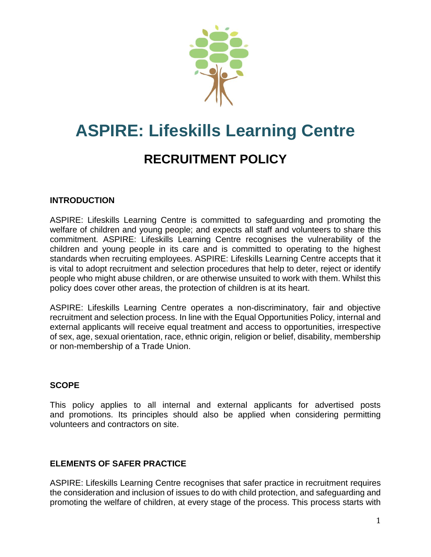

# **ASPIRE: Lifeskills Learning Centre RECRUITMENT POLICY**

## **INTRODUCTION**

ASPIRE: Lifeskills Learning Centre is committed to safeguarding and promoting the welfare of children and young people; and expects all staff and volunteers to share this commitment. ASPIRE: Lifeskills Learning Centre recognises the vulnerability of the children and young people in its care and is committed to operating to the highest standards when recruiting employees. ASPIRE: Lifeskills Learning Centre accepts that it is vital to adopt recruitment and selection procedures that help to deter, reject or identify people who might abuse children, or are otherwise unsuited to work with them. Whilst this policy does cover other areas, the protection of children is at its heart.

ASPIRE: Lifeskills Learning Centre operates a non-discriminatory, fair and objective recruitment and selection process. In line with the Equal Opportunities Policy, internal and external applicants will receive equal treatment and access to opportunities, irrespective of sex, age, sexual orientation, race, ethnic origin, religion or belief, disability, membership or non-membership of a Trade Union.

#### **SCOPE**

This policy applies to all internal and external applicants for advertised posts and promotions. Its principles should also be applied when considering permitting volunteers and contractors on site.

#### **ELEMENTS OF SAFER PRACTICE**

ASPIRE: Lifeskills Learning Centre recognises that safer practice in recruitment requires the consideration and inclusion of issues to do with child protection, and safeguarding and promoting the welfare of children, at every stage of the process. This process starts with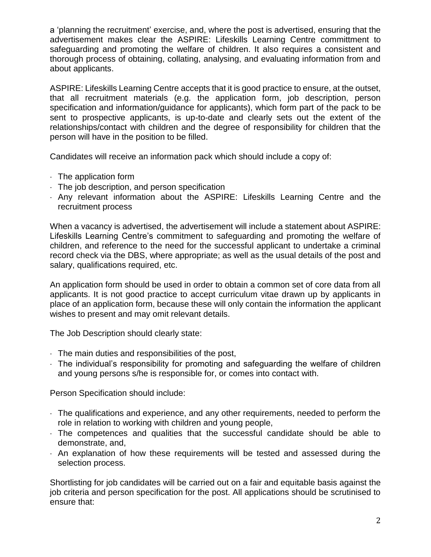a 'planning the recruitment' exercise, and, where the post is advertised, ensuring that the advertisement makes clear the ASPIRE: Lifeskills Learning Centre committment to safeguarding and promoting the welfare of children. It also requires a consistent and thorough process of obtaining, collating, analysing, and evaluating information from and about applicants.

ASPIRE: Lifeskills Learning Centre accepts that it is good practice to ensure, at the outset, that all recruitment materials (e.g. the application form, job description, person specification and information/guidance for applicants), which form part of the pack to be sent to prospective applicants, is up-to-date and clearly sets out the extent of the relationships/contact with children and the degree of responsibility for children that the person will have in the position to be filled.

Candidates will receive an information pack which should include a copy of:

- $\cdot$  The application form
- The job description, and person specification
- Any relevant information about the ASPIRE: Lifeskills Learning Centre and the recruitment process

When a vacancy is advertised, the advertisement will include a statement about ASPIRE: Lifeskills Learning Centre's commitment to safeguarding and promoting the welfare of children, and reference to the need for the successful applicant to undertake a criminal record check via the DBS, where appropriate; as well as the usual details of the post and salary, qualifications required, etc.

An application form should be used in order to obtain a common set of core data from all applicants. It is not good practice to accept curriculum vitae drawn up by applicants in place of an application form, because these will only contain the information the applicant wishes to present and may omit relevant details.

The Job Description should clearly state:

- $\cdot$  The main duties and responsibilities of the post,
- The individual's responsibility for promoting and safeguarding the welfare of children and young persons s/he is responsible for, or comes into contact with.

Person Specification should include:

- $\cdot$  The qualifications and experience, and any other requirements, needed to perform the role in relation to working with children and young people,
- The competences and qualities that the successful candidate should be able to demonstrate, and,
- $\cdot$  An explanation of how these requirements will be tested and assessed during the selection process.

Shortlisting for job candidates will be carried out on a fair and equitable basis against the job criteria and person specification for the post. All applications should be scrutinised to ensure that: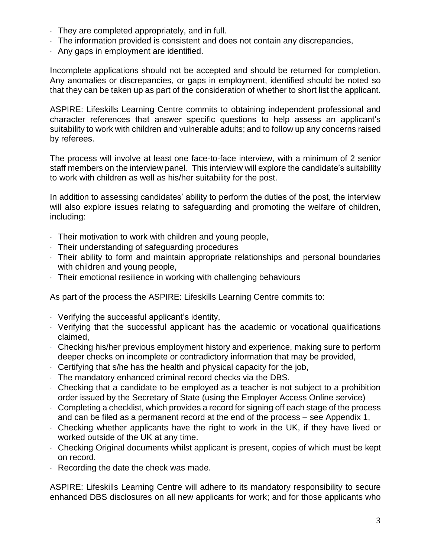- They are completed appropriately, and in full.
- The information provided is consistent and does not contain any discrepancies,
- Any gaps in employment are identified.

Incomplete applications should not be accepted and should be returned for completion. Any anomalies or discrepancies, or gaps in employment, identified should be noted so that they can be taken up as part of the consideration of whether to short list the applicant.

ASPIRE: Lifeskills Learning Centre commits to obtaining independent professional and character references that answer specific questions to help assess an applicant's suitability to work with children and vulnerable adults; and to follow up any concerns raised by referees.

The process will involve at least one face-to-face interview, with a minimum of 2 senior staff members on the interview panel. This interview will explore the candidate's suitability to work with children as well as his/her suitability for the post.

In addition to assessing candidates' ability to perform the duties of the post, the interview will also explore issues relating to safeguarding and promoting the welfare of children, including:

- Their motivation to work with children and young people,
- Their understanding of safeguarding procedures
- Their ability to form and maintain appropriate relationships and personal boundaries with children and young people,
- Their emotional resilience in working with challenging behaviours

As part of the process the ASPIRE: Lifeskills Learning Centre commits to:

- Verifying the successful applicant's identity,
- Verifying that the successful applicant has the academic or vocational qualifications claimed,
- Checking his/her previous employment history and experience, making sure to perform deeper checks on incomplete or contradictory information that may be provided,
- Certifying that s/he has the health and physical capacity for the job,
- The mandatory enhanced criminal record checks via the DBS.
- Checking that a candidate to be employed as a teacher is not subject to a prohibition order issued by the Secretary of State (using the Employer Access Online service)
- Completing a checklist, which provides a record for signing off each stage of the process and can be filed as a permanent record at the end of the process – see Appendix 1,
- Checking whether applicants have the right to work in the UK, if they have lived or worked outside of the UK at any time.
- Checking Original documents whilst applicant is present, copies of which must be kept on record.
- $\cdot$  Recording the date the check was made.

ASPIRE: Lifeskills Learning Centre will adhere to its mandatory responsibility to secure enhanced DBS disclosures on all new applicants for work; and for those applicants who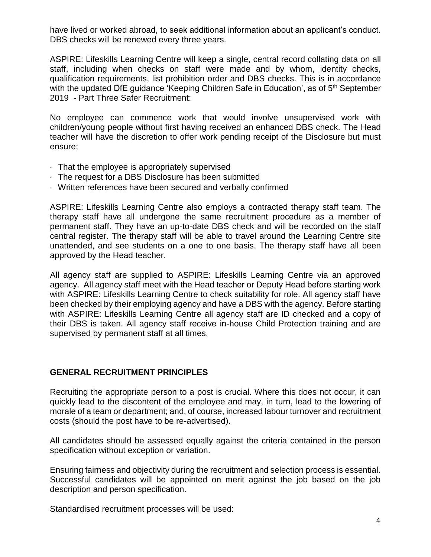have lived or worked abroad, to seek additional information about an applicant's conduct. DBS checks will be renewed every three years.

ASPIRE: Lifeskills Learning Centre will keep a single, central record collating data on all staff, including when checks on staff were made and by whom, identity checks, qualification requirements, list prohibition order and DBS checks. This is in accordance with the updated DfE guidance 'Keeping Children Safe in Education', as of 5<sup>th</sup> September 2019 - Part Three Safer Recruitment:

No employee can commence work that would involve unsupervised work with children/young people without first having received an enhanced DBS check. The Head teacher will have the discretion to offer work pending receipt of the Disclosure but must ensure;

- That the employee is appropriately supervised
- The request for a DBS Disclosure has been submitted
- Written references have been secured and verbally confirmed

ASPIRE: Lifeskills Learning Centre also employs a contracted therapy staff team. The therapy staff have all undergone the same recruitment procedure as a member of permanent staff. They have an up-to-date DBS check and will be recorded on the staff central register. The therapy staff will be able to travel around the Learning Centre site unattended, and see students on a one to one basis. The therapy staff have all been approved by the Head teacher.

All agency staff are supplied to ASPIRE: Lifeskills Learning Centre via an approved agency. All agency staff meet with the Head teacher or Deputy Head before starting work with ASPIRE: Lifeskills Learning Centre to check suitability for role. All agency staff have been checked by their employing agency and have a DBS with the agency. Before starting with ASPIRE: Lifeskills Learning Centre all agency staff are ID checked and a copy of their DBS is taken. All agency staff receive in-house Child Protection training and are supervised by permanent staff at all times.

#### **GENERAL RECRUITMENT PRINCIPLES**

Recruiting the appropriate person to a post is crucial. Where this does not occur, it can quickly lead to the discontent of the employee and may, in turn, lead to the lowering of morale of a team or department; and, of course, increased labour turnover and recruitment costs (should the post have to be re-advertised).

All candidates should be assessed equally against the criteria contained in the person specification without exception or variation.

Ensuring fairness and objectivity during the recruitment and selection process is essential. Successful candidates will be appointed on merit against the job based on the job description and person specification.

Standardised recruitment processes will be used: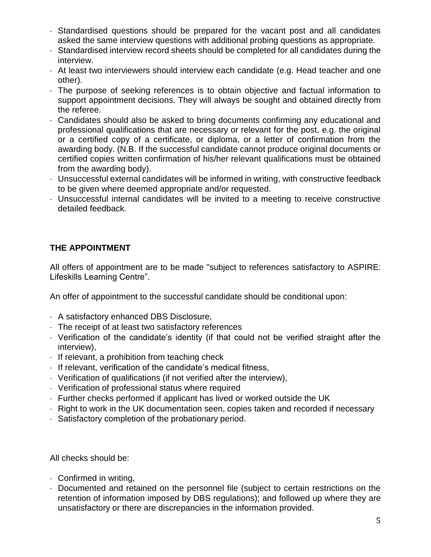- Standardised questions should be prepared for the vacant post and all candidates asked the same interview questions with additional probing questions as appropriate.
- Standardised interview record sheets should be completed for all candidates during the interview.
- At least two interviewers should interview each candidate (e.g. Head teacher and one other).
- The purpose of seeking references is to obtain objective and factual information to support appointment decisions. They will always be sought and obtained directly from the referee.
- Candidates should also be asked to bring documents confirming any educational and professional qualifications that are necessary or relevant for the post, e.g. the original or a certified copy of a certificate, or diploma, or a letter of confirmation from the awarding body. (N.B. If the successful candidate cannot produce original documents or certified copies written confirmation of his/her relevant qualifications must be obtained from the awarding body).
- Unsuccessful external candidates will be informed in writing, with constructive feedback to be given where deemed appropriate and/or requested.
- Unsuccessful internal candidates will be invited to a meeting to receive constructive detailed feedback.

## **THE APPOINTMENT**

All offers of appointment are to be made "subject to references satisfactory to ASPIRE: Lifeskills Learning Centre".

An offer of appointment to the successful candidate should be conditional upon:

- A satisfactory enhanced DBS Disclosure,
- The receipt of at least two satisfactory references
- Verification of the candidate's identity (if that could not be verified straight after the interview),
- $\cdot$  If relevant, a prohibition from teaching check
- $\cdot$  If relevant, verification of the candidate's medical fitness,
- Verification of qualifications (if not verified after the interview),
- Verification of professional status where required
- $\cdot$  Further checks performed if applicant has lived or worked outside the UK
- Right to work in the UK documentation seen, copies taken and recorded if necessary
- Satisfactory completion of the probationary period.

All checks should be:

- Confirmed in writing,
- Documented and retained on the personnel file (subject to certain restrictions on the retention of information imposed by DBS regulations); and followed up where they are unsatisfactory or there are discrepancies in the information provided.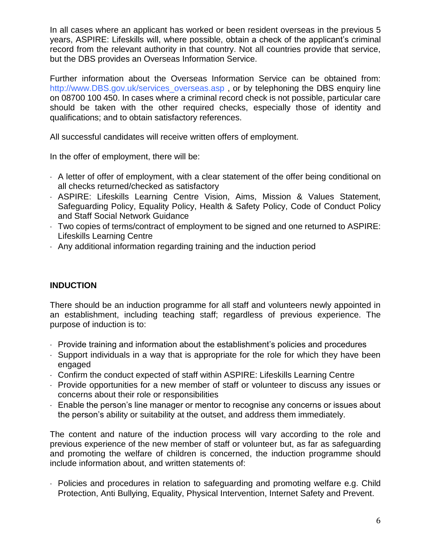In all cases where an applicant has worked or been resident overseas in the previous 5 years, ASPIRE: Lifeskills will, where possible, obtain a check of the applicant's criminal record from the relevant authority in that country. Not all countries provide that service, but the DBS provides an Overseas Information Service.

Further information about the Overseas Information Service can be obtained from: http://www.DBS.gov.uk/services\_overseas.asp, or by telephoning the DBS enquiry line on 08700 100 450. In cases where a criminal record check is not possible, particular care should be taken with the other required checks, especially those of identity and qualifications; and to obtain satisfactory references.

All successful candidates will receive written offers of employment.

In the offer of employment, there will be:

- $\cdot$  A letter of offer of employment, with a clear statement of the offer being conditional on all checks returned/checked as satisfactory
- ASPIRE: Lifeskills Learning Centre Vision, Aims, Mission & Values Statement, Safeguarding Policy, Equality Policy, Health & Safety Policy, Code of Conduct Policy and Staff Social Network Guidance
- Two copies of terms/contract of employment to be signed and one returned to ASPIRE: Lifeskills Learning Centre
- $\cdot$  Any additional information regarding training and the induction period

#### **INDUCTION**

There should be an induction programme for all staff and volunteers newly appointed in an establishment, including teaching staff; regardless of previous experience. The purpose of induction is to:

- Provide training and information about the establishment's policies and procedures
- Support individuals in a way that is appropriate for the role for which they have been engaged
- Confirm the conduct expected of staff within ASPIRE: Lifeskills Learning Centre
- Provide opportunities for a new member of staff or volunteer to discuss any issues or concerns about their role or responsibilities
- Enable the person's line manager or mentor to recognise any concerns or issues about the person's ability or suitability at the outset, and address them immediately.

The content and nature of the induction process will vary according to the role and previous experience of the new member of staff or volunteer but, as far as safeguarding and promoting the welfare of children is concerned, the induction programme should include information about, and written statements of:

 Policies and procedures in relation to safeguarding and promoting welfare e.g. Child Protection, Anti Bullying, Equality, Physical Intervention, Internet Safety and Prevent.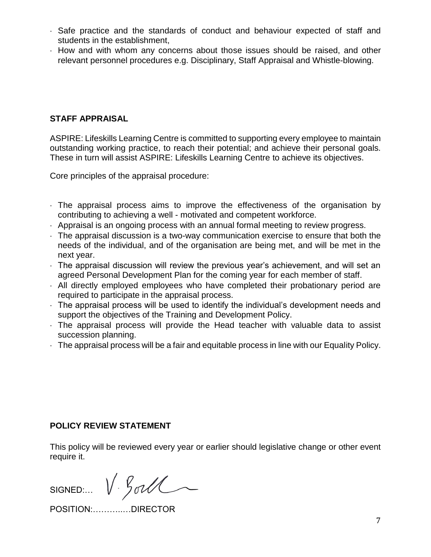- Safe practice and the standards of conduct and behaviour expected of staff and students in the establishment,
- How and with whom any concerns about those issues should be raised, and other relevant personnel procedures e.g. Disciplinary, Staff Appraisal and Whistle-blowing.

## **STAFF APPRAISAL**

ASPIRE: Lifeskills Learning Centre is committed to supporting every employee to maintain outstanding working practice, to reach their potential; and achieve their personal goals. These in turn will assist ASPIRE: Lifeskills Learning Centre to achieve its objectives.

Core principles of the appraisal procedure:

- The appraisal process aims to improve the effectiveness of the organisation by contributing to achieving a well - motivated and competent workforce.
- Appraisal is an ongoing process with an annual formal meeting to review progress.
- The appraisal discussion is a two-way communication exercise to ensure that both the needs of the individual, and of the organisation are being met, and will be met in the next year.
- The appraisal discussion will review the previous year's achievement, and will set an agreed Personal Development Plan for the coming year for each member of staff.
- All directly employed employees who have completed their probationary period are required to participate in the appraisal process.
- The appraisal process will be used to identify the individual's development needs and support the objectives of the Training and Development Policy.
- The appraisal process will provide the Head teacher with valuable data to assist succession planning.
- The appraisal process will be a fair and equitable process in line with our Equality Policy.

#### **POLICY REVIEW STATEMENT**

This policy will be reviewed every year or earlier should legislative change or other event require it.

SIGNED:  $V \text{ and }$ 

POSITION:………..…DIRECTOR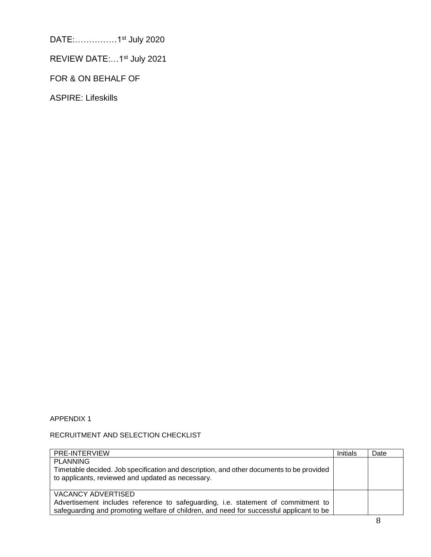DATE:……………1st July 2020

REVIEW DATE:...1st July 2021

FOR & ON BEHALF OF

ASPIRE: Lifeskills

#### APPENDIX 1

#### RECRUITMENT AND SELECTION CHECKLIST

| PRE-INTERVIEW                                                                                                                                                                                             | Initials | Date |
|-----------------------------------------------------------------------------------------------------------------------------------------------------------------------------------------------------------|----------|------|
| <b>PLANNING</b><br>Timetable decided. Job specification and description, and other documents to be provided<br>to applicants, reviewed and updated as necessary.                                          |          |      |
| <b>VACANCY ADVERTISED</b><br>Advertisement includes reference to safeguarding, i.e. statement of commitment to<br>safeguarding and promoting welfare of children, and need for successful applicant to be |          |      |